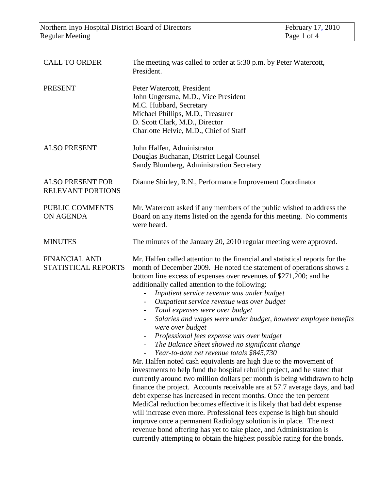| <b>CALL TO ORDER</b>                                | The meeting was called to order at 5:30 p.m. by Peter Watercott,<br>President.                                                                                                                                                                                                                                                                                                                                                                                                                                                                                                                                                                                                                                                                                                                                                                                                                                                                                                                                                                                                                                                                                                                                                                                                                                                                                                                                                                                                                  |
|-----------------------------------------------------|-------------------------------------------------------------------------------------------------------------------------------------------------------------------------------------------------------------------------------------------------------------------------------------------------------------------------------------------------------------------------------------------------------------------------------------------------------------------------------------------------------------------------------------------------------------------------------------------------------------------------------------------------------------------------------------------------------------------------------------------------------------------------------------------------------------------------------------------------------------------------------------------------------------------------------------------------------------------------------------------------------------------------------------------------------------------------------------------------------------------------------------------------------------------------------------------------------------------------------------------------------------------------------------------------------------------------------------------------------------------------------------------------------------------------------------------------------------------------------------------------|
| <b>PRESENT</b>                                      | Peter Watercott, President<br>John Ungersma, M.D., Vice President<br>M.C. Hubbard, Secretary<br>Michael Phillips, M.D., Treasurer<br>D. Scott Clark, M.D., Director<br>Charlotte Helvie, M.D., Chief of Staff                                                                                                                                                                                                                                                                                                                                                                                                                                                                                                                                                                                                                                                                                                                                                                                                                                                                                                                                                                                                                                                                                                                                                                                                                                                                                   |
| <b>ALSO PRESENT</b>                                 | John Halfen, Administrator<br>Douglas Buchanan, District Legal Counsel<br>Sandy Blumberg, Administration Secretary                                                                                                                                                                                                                                                                                                                                                                                                                                                                                                                                                                                                                                                                                                                                                                                                                                                                                                                                                                                                                                                                                                                                                                                                                                                                                                                                                                              |
| <b>ALSO PRESENT FOR</b><br><b>RELEVANT PORTIONS</b> | Dianne Shirley, R.N., Performance Improvement Coordinator                                                                                                                                                                                                                                                                                                                                                                                                                                                                                                                                                                                                                                                                                                                                                                                                                                                                                                                                                                                                                                                                                                                                                                                                                                                                                                                                                                                                                                       |
| PUBLIC COMMENTS<br>ON AGENDA                        | Mr. Watercott asked if any members of the public wished to address the<br>Board on any items listed on the agenda for this meeting. No comments<br>were heard.                                                                                                                                                                                                                                                                                                                                                                                                                                                                                                                                                                                                                                                                                                                                                                                                                                                                                                                                                                                                                                                                                                                                                                                                                                                                                                                                  |
| <b>MINUTES</b>                                      | The minutes of the January 20, 2010 regular meeting were approved.                                                                                                                                                                                                                                                                                                                                                                                                                                                                                                                                                                                                                                                                                                                                                                                                                                                                                                                                                                                                                                                                                                                                                                                                                                                                                                                                                                                                                              |
| <b>FINANCIAL AND</b><br>STATISTICAL REPORTS         | Mr. Halfen called attention to the financial and statistical reports for the<br>month of December 2009. He noted the statement of operations shows a<br>bottom line excess of expenses over revenues of \$271,200; and he<br>additionally called attention to the following:<br>Inpatient service revenue was under budget<br>$\overline{\phantom{a}}$<br>Outpatient service revenue was over budget<br>$\overline{\phantom{a}}$<br>Total expenses were over budget<br>$\overline{\phantom{a}}$<br>Salaries and wages were under budget, however employee benefits<br>were over budget<br>Professional fees expense was over budget<br>The Balance Sheet showed no significant change<br>Year-to-date net revenue totals \$845,730<br>Mr. Halfen noted cash equivalents are high due to the movement of<br>investments to help fund the hospital rebuild project, and he stated that<br>currently around two million dollars per month is being withdrawn to help<br>finance the project. Accounts receivable are at 57.7 average days, and bad<br>debt expense has increased in recent months. Once the ten percent<br>MediCal reduction becomes effective it is likely that bad debt expense<br>will increase even more. Professional fees expense is high but should<br>improve once a permanent Radiology solution is in place. The next<br>revenue bond offering has yet to take place, and Administration is<br>currently attempting to obtain the highest possible rating for the bonds. |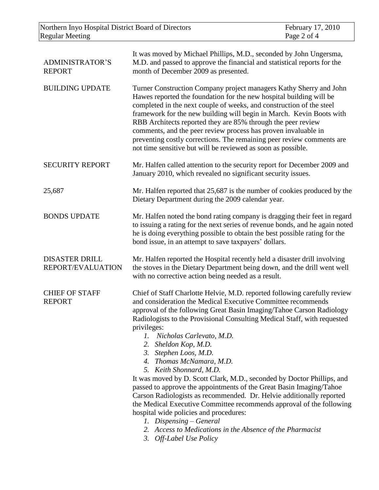| Northern Inyo Hospital District Board of Directors<br><b>Regular Meeting</b> |                                                                                                                                                                                                                                                                                                                                                                                                                                                                                                                                                                                                                                                                                                                                                                                                                                                                                                                   | February 17, 2010<br>Page 2 of 4 |
|------------------------------------------------------------------------------|-------------------------------------------------------------------------------------------------------------------------------------------------------------------------------------------------------------------------------------------------------------------------------------------------------------------------------------------------------------------------------------------------------------------------------------------------------------------------------------------------------------------------------------------------------------------------------------------------------------------------------------------------------------------------------------------------------------------------------------------------------------------------------------------------------------------------------------------------------------------------------------------------------------------|----------------------------------|
| <b>ADMINISTRATOR'S</b><br><b>REPORT</b>                                      | It was moved by Michael Phillips, M.D., seconded by John Ungersma,<br>M.D. and passed to approve the financial and statistical reports for the<br>month of December 2009 as presented.                                                                                                                                                                                                                                                                                                                                                                                                                                                                                                                                                                                                                                                                                                                            |                                  |
| <b>BUILDING UPDATE</b>                                                       | Turner Construction Company project managers Kathy Sherry and John<br>Hawes reported the foundation for the new hospital building will be<br>completed in the next couple of weeks, and construction of the steel<br>framework for the new building will begin in March. Kevin Boots with<br>RBB Architects reported they are 85% through the peer review<br>comments, and the peer review process has proven invaluable in<br>preventing costly corrections. The remaining peer review comments are<br>not time sensitive but will be reviewed as soon as possible.                                                                                                                                                                                                                                                                                                                                              |                                  |
| <b>SECURITY REPORT</b>                                                       | Mr. Halfen called attention to the security report for December 2009 and<br>January 2010, which revealed no significant security issues.                                                                                                                                                                                                                                                                                                                                                                                                                                                                                                                                                                                                                                                                                                                                                                          |                                  |
| 25,687                                                                       | Mr. Halfen reported that 25,687 is the number of cookies produced by the<br>Dietary Department during the 2009 calendar year.                                                                                                                                                                                                                                                                                                                                                                                                                                                                                                                                                                                                                                                                                                                                                                                     |                                  |
| <b>BONDS UPDATE</b>                                                          | Mr. Halfen noted the bond rating company is dragging their feet in regard<br>to issuing a rating for the next series of revenue bonds, and he again noted<br>he is doing everything possible to obtain the best possible rating for the<br>bond issue, in an attempt to save taxpayers' dollars.                                                                                                                                                                                                                                                                                                                                                                                                                                                                                                                                                                                                                  |                                  |
| <b>DISASTER DRILL</b><br>REPORT/EVALUATION                                   | Mr. Halfen reported the Hospital recently held a disaster drill involving<br>the stoves in the Dietary Department being down, and the drill went well<br>with no corrective action being needed as a result.                                                                                                                                                                                                                                                                                                                                                                                                                                                                                                                                                                                                                                                                                                      |                                  |
| <b>CHIEF OF STAFF</b><br><b>REPORT</b>                                       | Chief of Staff Charlotte Helvie, M.D. reported following carefully review<br>and consideration the Medical Executive Committee recommends<br>approval of the following Great Basin Imaging/Tahoe Carson Radiology<br>Radiologists to the Provisional Consulting Medical Staff, with requested<br>privileges:<br>1. Nicholas Carlevato, M.D.<br>2. Sheldon Kop, M.D.<br>3. Stephen Loos, M.D.<br>4. Thomas McNamara, M.D.<br>5. Keith Shonnard, M.D.<br>It was moved by D. Scott Clark, M.D., seconded by Doctor Phillips, and<br>passed to approve the appointments of the Great Basin Imaging/Tahoe<br>Carson Radiologists as recommended. Dr. Helvie additionally reported<br>the Medical Executive Committee recommends approval of the following<br>hospital wide policies and procedures:<br>1. Dispensing – General<br>2. Access to Medications in the Absence of the Pharmacist<br>3. Off-Label Use Policy |                                  |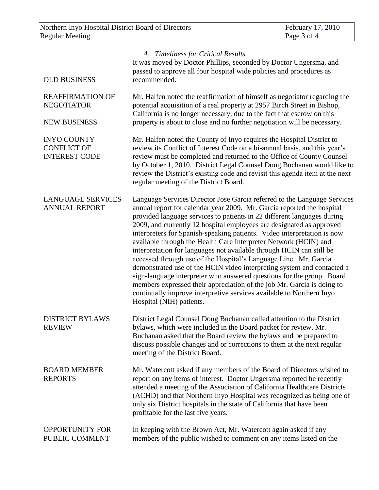| <b>OLD BUSINESS</b>                                                 | 4. Timeliness for Critical Results<br>It was moved by Doctor Phillips, seconded by Doctor Ungersma, and<br>passed to approve all four hospital wide policies and procedures as<br>recommended.                                                                                                                                                                                                                                                                                                                                                                                                                                                                                                                                                                                                                                                                                                                                    |
|---------------------------------------------------------------------|-----------------------------------------------------------------------------------------------------------------------------------------------------------------------------------------------------------------------------------------------------------------------------------------------------------------------------------------------------------------------------------------------------------------------------------------------------------------------------------------------------------------------------------------------------------------------------------------------------------------------------------------------------------------------------------------------------------------------------------------------------------------------------------------------------------------------------------------------------------------------------------------------------------------------------------|
| <b>REAFFIRMATION OF</b><br><b>NEGOTIATOR</b><br><b>NEW BUSINESS</b> | Mr. Halfen noted the reaffirmation of himself as negotiator regarding the<br>potential acquisition of a real property at 2957 Birch Street in Bishop,<br>California is no longer necessary, due to the fact that escrow on this<br>property is about to close and no further negotiation will be necessary.                                                                                                                                                                                                                                                                                                                                                                                                                                                                                                                                                                                                                       |
| <b>INYO COUNTY</b><br><b>CONFLICT OF</b><br><b>INTEREST CODE</b>    | Mr. Halfen noted the County of Inyo requires the Hospital District to<br>review its Conflict of Interest Code on a bi-annual basis, and this year's<br>review must be completed and returned to the Office of County Counsel<br>by October 1, 2010. District Legal Counsel Doug Buchanan would like to<br>review the District's existing code and revisit this agenda item at the next<br>regular meeting of the District Board.                                                                                                                                                                                                                                                                                                                                                                                                                                                                                                  |
| <b>LANGUAGE SERVICES</b><br><b>ANNUAL REPORT</b>                    | Language Services Director Jose Garcia referred to the Language Services<br>annual report for calendar year 2009. Mr. Garcia reported the hospital<br>provided language services to patients in 22 different languages during<br>2009, and currently 12 hospital employees are designated as approved<br>interpreters for Spanish-speaking patients. Video interpretation is now<br>available through the Health Care Interpreter Network (HCIN) and<br>interpretation for languages not available through HCIN can still be<br>accessed through use of the Hospital's Language Line. Mr. Garcia<br>demonstrated use of the HCIN video interpreting system and contacted a<br>sign-language interpreter who answered questions for the group. Board<br>members expressed their appreciation of the job Mr. Garcia is doing to<br>continually improve interpretive services available to Northern Inyo<br>Hospital (NIH) patients. |
| <b>DISTRICT BYLAWS</b><br><b>REVIEW</b>                             | District Legal Counsel Doug Buchanan called attention to the District<br>bylaws, which were included in the Board packet for review. Mr.<br>Buchanan asked that the Board review the bylaws and be prepared to<br>discuss possible changes and or corrections to them at the next regular<br>meeting of the District Board.                                                                                                                                                                                                                                                                                                                                                                                                                                                                                                                                                                                                       |
| <b>BOARD MEMBER</b><br><b>REPORTS</b>                               | Mr. Watercott asked if any members of the Board of Directors wished to<br>report on any items of interest. Doctor Ungersma reported he recently<br>attended a meeting of the Association of California Healthcare Districts<br>(ACHD) and that Northern Inyo Hospital was recognized as being one of<br>only six District hospitals in the state of California that have been<br>profitable for the last five years.                                                                                                                                                                                                                                                                                                                                                                                                                                                                                                              |
| <b>OPPORTUNITY FOR</b><br>PUBLIC COMMENT                            | In keeping with the Brown Act, Mr. Watercott again asked if any<br>members of the public wished to comment on any items listed on the                                                                                                                                                                                                                                                                                                                                                                                                                                                                                                                                                                                                                                                                                                                                                                                             |